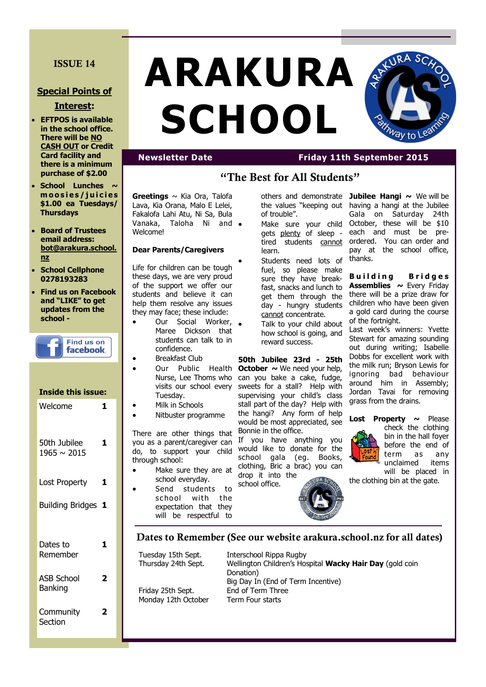# **ISSUE 14**

## **Special Points of**

### **Interest:**

- **EFTPOS is available in the school office. There will be NO CASH OUT or Credit Card facility and there is a minimum purchase of \$2.00**
- **School Lunches**  $\sim$ **m o o s i e s / j u i c i e s \$1.00 ea Tuesdays/ Thursdays**
- **Board of Trustees email address: bot@arakura.school. nz**
- **School Cellphone 0278193283**
- **Find us on Facebook and "LIKE" to get updates from the school -**

| <b>Find us on</b><br>facebook.      |   |
|-------------------------------------|---|
| <b>Inside this issue:</b>           |   |
| Welcome                             | 1 |
| 50th Jubilee<br>$1965 \sim 2015$    | 1 |
| <b>Lost Property</b>                | 1 |
| <b>Building Bridges</b>             | 1 |
| Dates to<br>Remember                | 1 |
| <b>ASB School</b><br><b>Banking</b> | 2 |
| Community<br>Section                | 7 |

# **ARAKURA SCHOOL**



# **Newsletter Date Friday 11th September 2015**

# **"The Best for All Students"**

**Greetings** ~ Kia Ora, Talofa Lava, Kia Orana, Malo E Lelei, Fakalofa Lahi Atu, Ni Sa, Bula Vanaka, Taloha Ni and **Welcome!** 

#### **Dear Parents/Caregivers**

Life for children can be tough these days, we are very proud of the support we offer our students and believe it can help them resolve any issues they may face; these include:

- Our Social Worker, . Maree Dickson that students can talk to in confidence.
- Breakfast Club
- Tuesday.
- Milk in Schools
- Nitbuster programme

There are other things that you as a parent/caregiver can do, to support your child through school:

- Make sure they are at school everyday.
- Send students to school with the expectation that they will be respectful to

the values "keeping out of trouble".

- gets plenty of sleep tired students cannot learn.
- Students need lots of fuel, so please make sure they have breakfast, snacks and lunch to get them through the day - hungry students cannot concentrate.
- Talk to your child about how school is going, and reward success.

• Our Public Health **October** ~ We need your help, Nurse, Lee Thoms who can you bake a cake, fudge, visits our school every sweets for a stall? Help with **50th Jubilee 23rd - 25th**  supervising your child's class stall part of the day? Help with the hangi? Any form of help would be most appreciated, see Bonnie in the office.

> If you have anything you would like to donate for the school gala (eg. Books, clothing, Bric a brac) you can drop it into the



others and demonstrate **Jubilee Hangi**  $\sim$  We will be • Make sure your child October, these will be \$10 having a hangi at the Jubilee Gala on Saturday 24th each and must be preordered. You can order and pay at the school office, thanks.

> **Building Bridges Assemblies ~** Every Friday there will be a prize draw for children who have been given a gold card during the course of the fortnight.

> Last week's winners: Yvette Stewart for amazing sounding out during writing; Isabelle Dobbs for excellent work with the milk run; Bryson Lewis for ignoring bad behaviour around him in Assembly; Jordan Tavai for removing grass from the drains.

**Lost Property ~** Please check the clothing bin in the hall foyer before the end of term as any unclaimed items will be placed in

the clothing bin at the gate.

**Dates to Remember (See our website arakura.school.nz for all dates)**

school office.

Tuesday 15th Sept. Interschool Rippa Rugby Friday 25th Sept. End of Term Three

Thursday 24th Sept. Wellington Children's Hospital **Wacky Hair Day** (gold coin Donation) Big Day In (End of Term Incentive) Monday 12th October Term Four starts